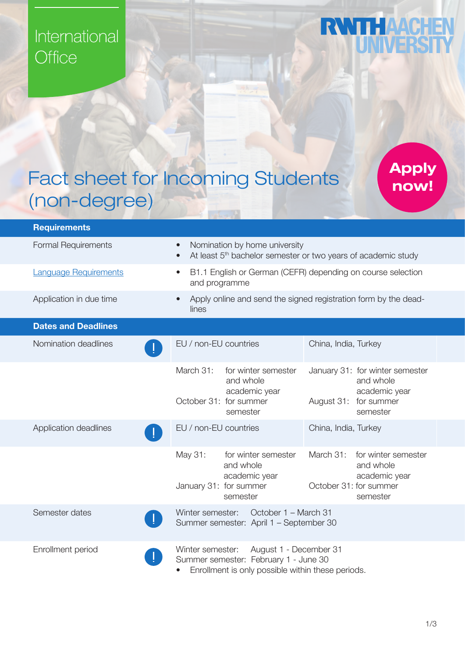## International Office

## **RWTHAACHEI**

## Fact sheet for Incoming Students (non-degree)

Apply now!

| <b>Requirements</b>          |                                                                                                                                                       |                                                                                                       |
|------------------------------|-------------------------------------------------------------------------------------------------------------------------------------------------------|-------------------------------------------------------------------------------------------------------|
| <b>Formal Requirements</b>   | Nomination by home university<br>$\bullet$<br>At least 5 <sup>th</sup> bachelor semester or two years of academic study<br>$\bullet$                  |                                                                                                       |
| <b>Language Requirements</b> | B1.1 English or German (CEFR) depending on course selection<br>$\bullet$<br>and programme                                                             |                                                                                                       |
| Application in due time      | Apply online and send the signed registration form by the dead-<br>$\bullet$<br>lines                                                                 |                                                                                                       |
| <b>Dates and Deadlines</b>   |                                                                                                                                                       |                                                                                                       |
| Nomination deadlines         | EU / non-EU countries                                                                                                                                 | China, India, Turkey                                                                                  |
|                              | March 31:<br>for winter semester<br>and whole<br>academic year<br>October 31: for summer<br>semester                                                  | January 31: for winter semester<br>and whole<br>academic year<br>August 31:<br>for summer<br>semester |
| Application deadlines        | EU / non-EU countries                                                                                                                                 | China, India, Turkey                                                                                  |
|                              | May 31:<br>for winter semester<br>and whole<br>academic year<br>January 31: for summer<br>semester                                                    | March 31:<br>for winter semester<br>and whole<br>academic year<br>October 31: for summer<br>semester  |
| Semester dates               | October 1 - March 31<br>Winter semester:<br>Summer semester: April 1 - September 30                                                                   |                                                                                                       |
| Enrollment period            | Winter semester:<br>August 1 - December 31<br>Summer semester: February 1 - June 30<br>Enrollment is only possible within these periods.<br>$\bullet$ |                                                                                                       |